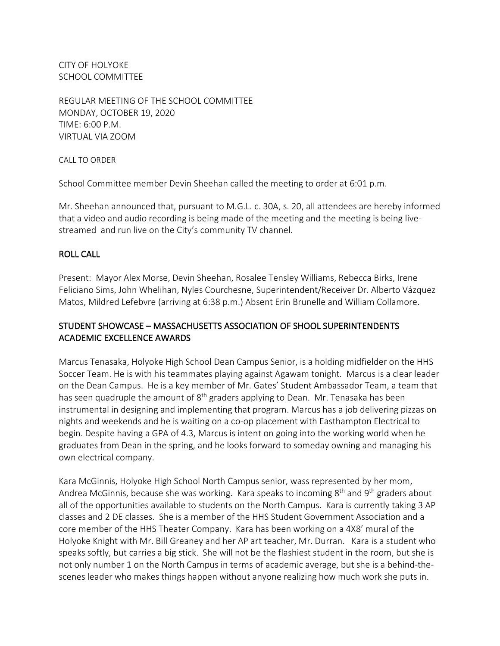CITY OF HOLYOKE SCHOOL COMMITTEE

REGULAR MEETING OF THE SCHOOL COMMITTEE MONDAY, OCTOBER 19, 2020 TIME: 6:00 P.M. VIRTUAL VIA ZOOM

CALL TO ORDER

School Committee member Devin Sheehan called the meeting to order at 6:01 p.m.

Mr. Sheehan announced that, pursuant to M.G.L. c. 30A, s. 20, all attendees are hereby informed that a video and audio recording is being made of the meeting and the meeting is being livestreamed and run live on the City's community TV channel.

## ROLL CALL

Present: Mayor Alex Morse, Devin Sheehan, Rosalee Tensley Williams, Rebecca Birks, Irene Feliciano Sims, John Whelihan, Nyles Courchesne, Superintendent/Receiver Dr. Alberto Vázquez Matos, Mildred Lefebvre (arriving at 6:38 p.m.) Absent Erin Brunelle and William Collamore.

# STUDENT SHOWCASE – MASSACHUSETTS ASSOCIATION OF SHOOL SUPERINTENDENTS ACADEMIC EXCELLENCE AWARDS

Marcus Tenasaka, Holyoke High School Dean Campus Senior, is a holding midfielder on the HHS Soccer Team. He is with his teammates playing against Agawam tonight. Marcus is a clear leader on the Dean Campus. He is a key member of Mr. Gates' Student Ambassador Team, a team that has seen quadruple the amount of  $8<sup>th</sup>$  graders applying to Dean. Mr. Tenasaka has been instrumental in designing and implementing that program. Marcus has a job delivering pizzas on nights and weekends and he is waiting on a co-op placement with Easthampton Electrical to begin. Despite having a GPA of 4.3, Marcus is intent on going into the working world when he graduates from Dean in the spring, and he looks forward to someday owning and managing his own electrical company.

Kara McGinnis, Holyoke High School North Campus senior, wass represented by her mom, Andrea McGinnis, because she was working. Kara speaks to incoming 8<sup>th</sup> and 9<sup>th</sup> graders about all of the opportunities available to students on the North Campus. Kara is currently taking 3 AP classes and 2 DE classes. She is a member of the HHS Student Government Association and a core member of the HHS Theater Company. Kara has been working on a 4X8' mural of the Holyoke Knight with Mr. Bill Greaney and her AP art teacher, Mr. Durran. Kara is a student who speaks softly, but carries a big stick. She will not be the flashiest student in the room, but she is not only number 1 on the North Campus in terms of academic average, but she is a behind-thescenes leader who makes things happen without anyone realizing how much work she puts in.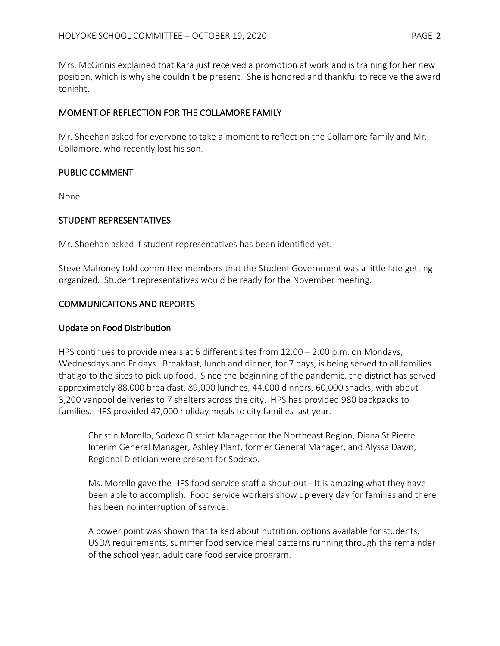Mrs. McGinnis explained that Kara just received a promotion at work and is training for her new position, which is why she couldn't be present. She is honored and thankful to receive the award tonight.

## MOMENT OF REFLECTION FOR THE COLLAMORE FAMILY

Mr. Sheehan asked for everyone to take a moment to reflect on the Collamore family and Mr. Collamore, who recently lost his son.

## PUBLIC COMMENT

None

## STUDENT REPRESENTATIVES

Mr. Sheehan asked if student representatives has been identified yet.

Steve Mahoney told committee members that the Student Government was a little late getting organized. Student representatives would be ready for the November meeting.

## COMMUNICAITONS AND REPORTS

#### Update on Food Distribution

HPS continues to provide meals at 6 different sites from 12:00 – 2:00 p.m. on Mondays, Wednesdays and Fridays. Breakfast, lunch and dinner, for 7 days, is being served to all families that go to the sites to pick up food. Since the beginning of the pandemic, the district has served approximately 88,000 breakfast, 89,000 lunches, 44,000 dinners, 60,000 snacks, with about 3,200 vanpool deliveries to 7 shelters across the city. HPS has provided 980 backpacks to families. HPS provided 47,000 holiday meals to city families last year.

Christin Morello, Sodexo District Manager for the Northeast Region, Diana St Pierre Interim General Manager, Ashley Plant, former General Manager, and Alyssa Dawn, Regional Dietician were present for Sodexo.

Ms. Morello gave the HPS food service staff a shout-out - It is amazing what they have been able to accomplish. Food service workers show up every day for families and there has been no interruption of service.

A power point was shown that talked about nutrition, options available for students, USDA requirements, summer food service meal patterns running through the remainder of the school year, adult care food service program.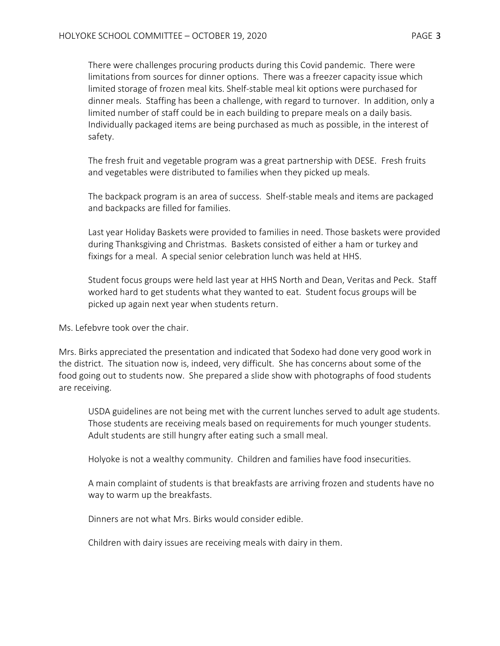There were challenges procuring products during this Covid pandemic. There were limitations from sources for dinner options. There was a freezer capacity issue which limited storage of frozen meal kits. Shelf-stable meal kit options were purchased for dinner meals. Staffing has been a challenge, with regard to turnover. In addition, only a limited number of staff could be in each building to prepare meals on a daily basis. Individually packaged items are being purchased as much as possible, in the interest of safety.

The fresh fruit and vegetable program was a great partnership with DESE. Fresh fruits and vegetables were distributed to families when they picked up meals.

The backpack program is an area of success. Shelf-stable meals and items are packaged and backpacks are filled for families.

Last year Holiday Baskets were provided to families in need. Those baskets were provided during Thanksgiving and Christmas. Baskets consisted of either a ham or turkey and fixings for a meal. A special senior celebration lunch was held at HHS.

Student focus groups were held last year at HHS North and Dean, Veritas and Peck. Staff worked hard to get students what they wanted to eat. Student focus groups will be picked up again next year when students return.

Ms. Lefebvre took over the chair.

Mrs. Birks appreciated the presentation and indicated that Sodexo had done very good work in the district. The situation now is, indeed, very difficult. She has concerns about some of the food going out to students now. She prepared a slide show with photographs of food students are receiving.

USDA guidelines are not being met with the current lunches served to adult age students. Those students are receiving meals based on requirements for much younger students. Adult students are still hungry after eating such a small meal.

Holyoke is not a wealthy community. Children and families have food insecurities.

A main complaint of students is that breakfasts are arriving frozen and students have no way to warm up the breakfasts.

Dinners are not what Mrs. Birks would consider edible.

Children with dairy issues are receiving meals with dairy in them.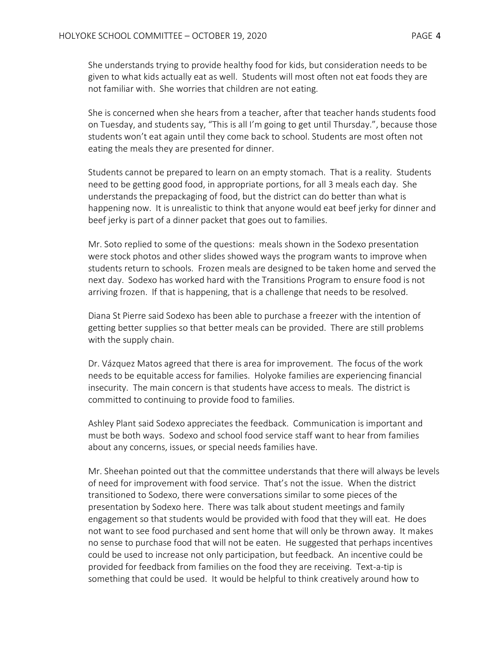She understands trying to provide healthy food for kids, but consideration needs to be given to what kids actually eat as well. Students will most often not eat foods they are not familiar with. She worries that children are not eating.

She is concerned when she hears from a teacher, after that teacher hands students food on Tuesday, and students say, "This is all I'm going to get until Thursday.", because those students won't eat again until they come back to school. Students are most often not eating the meals they are presented for dinner.

Students cannot be prepared to learn on an empty stomach. That is a reality. Students need to be getting good food, in appropriate portions, for all 3 meals each day. She understands the prepackaging of food, but the district can do better than what is happening now. It is unrealistic to think that anyone would eat beef jerky for dinner and beef jerky is part of a dinner packet that goes out to families.

Mr. Soto replied to some of the questions: meals shown in the Sodexo presentation were stock photos and other slides showed ways the program wants to improve when students return to schools. Frozen meals are designed to be taken home and served the next day. Sodexo has worked hard with the Transitions Program to ensure food is not arriving frozen. If that is happening, that is a challenge that needs to be resolved.

Diana St Pierre said Sodexo has been able to purchase a freezer with the intention of getting better supplies so that better meals can be provided. There are still problems with the supply chain.

Dr. Vázquez Matos agreed that there is area for improvement. The focus of the work needs to be equitable access for families. Holyoke families are experiencing financial insecurity. The main concern is that students have access to meals. The district is committed to continuing to provide food to families.

Ashley Plant said Sodexo appreciates the feedback. Communication is important and must be both ways. Sodexo and school food service staff want to hear from families about any concerns, issues, or special needs families have.

Mr. Sheehan pointed out that the committee understands that there will always be levels of need for improvement with food service. That's not the issue. When the district transitioned to Sodexo, there were conversations similar to some pieces of the presentation by Sodexo here. There was talk about student meetings and family engagement so that students would be provided with food that they will eat. He does not want to see food purchased and sent home that will only be thrown away. It makes no sense to purchase food that will not be eaten. He suggested that perhaps incentives could be used to increase not only participation, but feedback. An incentive could be provided for feedback from families on the food they are receiving. Text-a-tip is something that could be used. It would be helpful to think creatively around how to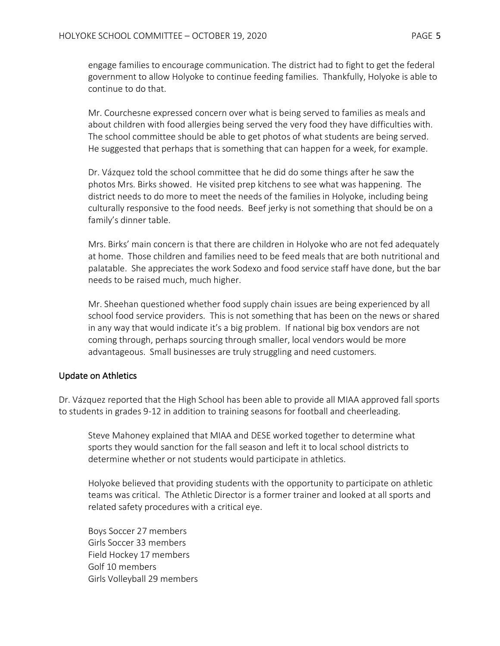engage families to encourage communication. The district had to fight to get the federal government to allow Holyoke to continue feeding families. Thankfully, Holyoke is able to continue to do that.

Mr. Courchesne expressed concern over what is being served to families as meals and about children with food allergies being served the very food they have difficulties with. The school committee should be able to get photos of what students are being served. He suggested that perhaps that is something that can happen for a week, for example.

Dr. Vázquez told the school committee that he did do some things after he saw the photos Mrs. Birks showed. He visited prep kitchens to see what was happening. The district needs to do more to meet the needs of the families in Holyoke, including being culturally responsive to the food needs. Beef jerky is not something that should be on a family's dinner table.

Mrs. Birks' main concern is that there are children in Holyoke who are not fed adequately at home. Those children and families need to be feed meals that are both nutritional and palatable. She appreciates the work Sodexo and food service staff have done, but the bar needs to be raised much, much higher.

Mr. Sheehan questioned whether food supply chain issues are being experienced by all school food service providers. This is not something that has been on the news or shared in any way that would indicate it's a big problem. If national big box vendors are not coming through, perhaps sourcing through smaller, local vendors would be more advantageous. Small businesses are truly struggling and need customers.

## Update on Athletics

Dr. Vázquez reported that the High School has been able to provide all MIAA approved fall sports to students in grades 9-12 in addition to training seasons for football and cheerleading.

Steve Mahoney explained that MIAA and DESE worked together to determine what sports they would sanction for the fall season and left it to local school districts to determine whether or not students would participate in athletics.

Holyoke believed that providing students with the opportunity to participate on athletic teams was critical. The Athletic Director is a former trainer and looked at all sports and related safety procedures with a critical eye.

Boys Soccer 27 members Girls Soccer 33 members Field Hockey 17 members Golf 10 members Girls Volleyball 29 members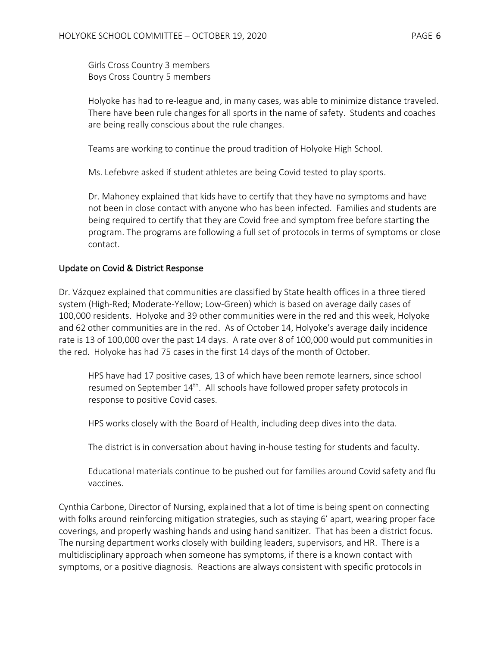Girls Cross Country 3 members Boys Cross Country 5 members

Holyoke has had to re-league and, in many cases, was able to minimize distance traveled. There have been rule changes for all sports in the name of safety. Students and coaches are being really conscious about the rule changes.

Teams are working to continue the proud tradition of Holyoke High School.

Ms. Lefebvre asked if student athletes are being Covid tested to play sports.

Dr. Mahoney explained that kids have to certify that they have no symptoms and have not been in close contact with anyone who has been infected. Families and students are being required to certify that they are Covid free and symptom free before starting the program. The programs are following a full set of protocols in terms of symptoms or close contact.

## Update on Covid & District Response

Dr. Vázquez explained that communities are classified by State health offices in a three tiered system (High-Red; Moderate-Yellow; Low-Green) which is based on average daily cases of 100,000 residents. Holyoke and 39 other communities were in the red and this week, Holyoke and 62 other communities are in the red. As of October 14, Holyoke's average daily incidence rate is 13 of 100,000 over the past 14 days. A rate over 8 of 100,000 would put communities in the red. Holyoke has had 75 cases in the first 14 days of the month of October.

HPS have had 17 positive cases, 13 of which have been remote learners, since school resumed on September 14<sup>th</sup>. All schools have followed proper safety protocols in response to positive Covid cases.

HPS works closely with the Board of Health, including deep dives into the data.

The district is in conversation about having in-house testing for students and faculty.

Educational materials continue to be pushed out for families around Covid safety and flu vaccines.

Cynthia Carbone, Director of Nursing, explained that a lot of time is being spent on connecting with folks around reinforcing mitigation strategies, such as staying 6' apart, wearing proper face coverings, and properly washing hands and using hand sanitizer. That has been a district focus. The nursing department works closely with building leaders, supervisors, and HR. There is a multidisciplinary approach when someone has symptoms, if there is a known contact with symptoms, or a positive diagnosis. Reactions are always consistent with specific protocols in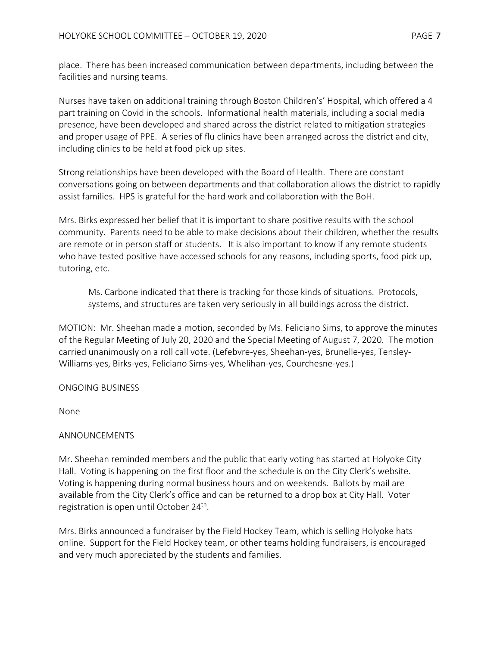place. There has been increased communication between departments, including between the facilities and nursing teams.

Nurses have taken on additional training through Boston Children's' Hospital, which offered a 4 part training on Covid in the schools. Informational health materials, including a social media presence, have been developed and shared across the district related to mitigation strategies and proper usage of PPE. A series of flu clinics have been arranged across the district and city, including clinics to be held at food pick up sites.

Strong relationships have been developed with the Board of Health. There are constant conversations going on between departments and that collaboration allows the district to rapidly assist families. HPS is grateful for the hard work and collaboration with the BoH.

Mrs. Birks expressed her belief that it is important to share positive results with the school community. Parents need to be able to make decisions about their children, whether the results are remote or in person staff or students. It is also important to know if any remote students who have tested positive have accessed schools for any reasons, including sports, food pick up, tutoring, etc.

Ms. Carbone indicated that there is tracking for those kinds of situations. Protocols, systems, and structures are taken very seriously in all buildings across the district.

MOTION: Mr. Sheehan made a motion, seconded by Ms. Feliciano Sims, to approve the minutes of the Regular Meeting of July 20, 2020 and the Special Meeting of August 7, 2020. The motion carried unanimously on a roll call vote. (Lefebvre-yes, Sheehan-yes, Brunelle-yes, Tensley-Williams-yes, Birks-yes, Feliciano Sims-yes, Whelihan-yes, Courchesne-yes.)

## ONGOING BUSINESS

None

#### ANNOUNCEMENTS

Mr. Sheehan reminded members and the public that early voting has started at Holyoke City Hall. Voting is happening on the first floor and the schedule is on the City Clerk's website. Voting is happening during normal business hours and on weekends. Ballots by mail are available from the City Clerk's office and can be returned to a drop box at City Hall. Voter registration is open until October 24<sup>th</sup>.

Mrs. Birks announced a fundraiser by the Field Hockey Team, which is selling Holyoke hats online. Support for the Field Hockey team, or other teams holding fundraisers, is encouraged and very much appreciated by the students and families.